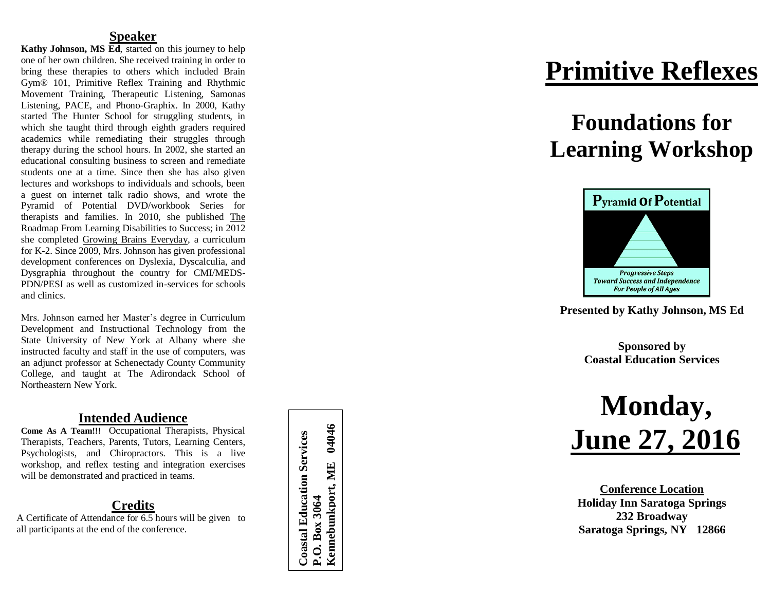### **Speaker**

Kathy Johnson, MS Ed, started on this journey to help one of her own children. She received training in order to bring these therapies to others which included Brain Gym® 101, Primitive Reflex Training and Rhythmic Movement Training, Therapeutic Listening, Samonas Listening, PACE, and Phono -Graphix. In 2000, Kathy started The Hunter School for struggling students, in which she taught third through eighth graders required academics while remediating their struggles through therapy during the school hours. In 2002, she started an educational consulting business to screen and remediate students one at a time. Since then she has also given lectures and workshops to individuals and schools, been a guest on internet talk radio shows, and wrote the Pyramid of Potential DVD/workbook Series for therapists and families. In 2010, she published The Roadmap From Learning Disabilities to Success; in 2012 she completed Growing Brains Everyday, a curriculum for K -2. Since 2009, Mrs. Johnson has given professional development conferences on Dyslexia, Dyscalculia, and Dysgraphia throughout the country for CMI/MEDS - PDN/PESI as well as customized in -services for schools and clinics.

Mrs. Johnson earned her Master's degree in Curriculum Development and Instructional Technology from the State University of New York at Albany where she instructed faculty and staff in the use of computers, was an adjunct professor at Schenectady County Community College, and taught at The Adirondack School of Northeastern New York.

## **Intended Audience**

**Come As A Team!!!** Occupational Therapists, Physical Therapists, Teachers, Parents, Tutors, Learning Centers, Psychologists, and Chiropractors. This is a live workshop, and reflex testing and integration exercises will be demonstrated and practiced in teams.

## **Credits**

A Certificate of Attendance for 6.5 hours will be given to all participants at the end of the conference.

Kennebunkport, ME 04046 **Kennebunkport, ME 04046Coastal Education Services Coastal Education Services** P.O. Box 3064 **P.O. Box 3064**

## **Primitive Reflexes**

## **Foundations for Learning Workshop**



**Presented by Kathy Johnson, MS Ed**

**Sponsored by Coastal Education Services**

# **Monday , June 27, 2016**

**Conference Location Holiday Inn Saratoga Springs 232 Broadway Saratoga Springs, NY 12866**